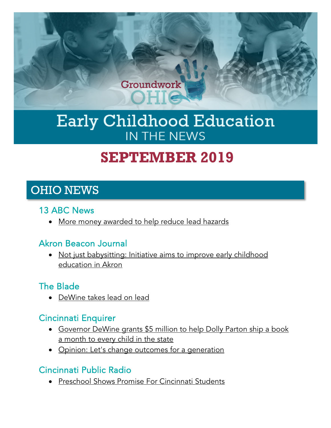

# Early Childhood Education IN THE NEWS

# **SEPTEMBER 2019**

# OHIO NEWS

#### 13 ABC News

• [More money awarded to help reduce lead hazards](https://www.13abc.com/content/news/More-money-awarded-to-help-reduce-lead-hazards-559260091.html)

#### Akron Beacon Journal

• [Not just babysitting: Initiative aims to improve early childhood](https://www.ohio.com/news/20190929/not-just-babysitting-initiative-aims-to-improve-early-childhood-education-in-akron)  [education in Akron](https://www.ohio.com/news/20190929/not-just-babysitting-initiative-aims-to-improve-early-childhood-education-in-akron)

# The Blade

• [DeWine takes lead on lead](https://www.toledoblade.com/opinion/editorials/2019/09/21/ohio-governor-dewine-takes-lead-on-lead/stories/20190916164)

# Cincinnati Enquirer

- Governor DeWine grants \$5 million to help Dolly Parton ship a book [a month to every child in the state](https://www.cincinnati.com/story/news/2019/09/10/governor-mike-dewine-passed-5-million-grant-imagination-library/2177779001/)
- [Opinion: Let's change outcomes for a generation](https://www.cincinnati.com/story/opinion/2019/08/28/opinion-lets-change-outcomes-generation/2124018001/)

# Cincinnati Public Radio

• [Preschool Shows Promise For Cincinnati Students](https://www.wvxu.org/post/preschool-shows-promise-cincinnati-students#stream/0)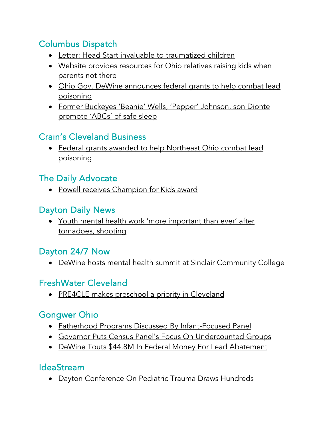# Columbus Dispatch

- [Letter: Head Start invaluable to traumatized children](https://www.dispatch.com/opinion/20190905/letter-head-start-invaluable-to-traumatized-children)
- [Website provides resources for Ohio relatives raising kids when](https://www.dispatch.com/news/20190909/website-provides-resources-for-ohio-relatives-raising-kids-when-parents-not-there)  [parents not there](https://www.dispatch.com/news/20190909/website-provides-resources-for-ohio-relatives-raising-kids-when-parents-not-there)
- [Ohio Gov. DeWine announces federal grants to help combat lead](https://www.dispatch.com/news/20190926/ohio-gov-dewine-announces-federal-grants-to-help-combat-lead-poisoning)  [poisoning](https://www.dispatch.com/news/20190926/ohio-gov-dewine-announces-federal-grants-to-help-combat-lead-poisoning)
- Former Buckeyes 'Beanie' [Wells, 'Pepper' Johnson, son Dionte](https://www.dispatch.com/news/20190918/former-buckeyes-beanie-wells-pepper-johnson-son-dionte-promote-abcs-of-safe-sleep)  [promote 'ABCs' of safe sleep](https://www.dispatch.com/news/20190918/former-buckeyes-beanie-wells-pepper-johnson-son-dionte-promote-abcs-of-safe-sleep)

# Crain's Cleveland Business

• [Federal grants awarded to help Northeast Ohio combat lead](https://www.crainscleveland.com/government/federal-grants-awarded-help-northeast-ohio-combat-lead-poisoning)  [poisoning](https://www.crainscleveland.com/government/federal-grants-awarded-help-northeast-ohio-combat-lead-poisoning)

## The Daily Advocate

• [Powell receives Champion for Kids award](https://www.dailyadvocate.com/news/78626/powell-receives-champion-for-kids-award)

#### Dayton Daily News

• [Youth mental health work 'more important than ever' after](https://www.daytondailynews.com/news/local/youth-mental-health-work-more-important-than-ever-after-tornadoes-shooting/tezMsDG2l7xQSmMeKRcFDM/)  [tornadoes, shooting](https://www.daytondailynews.com/news/local/youth-mental-health-work-more-important-than-ever-after-tornadoes-shooting/tezMsDG2l7xQSmMeKRcFDM/)

#### Dayton 24/7 Now

• [DeWine hosts mental health summit at Sinclair Community College](https://dayton247now.com/news/local/dewine-hosts-mental-health-summit-at-sinclair-community-college)

#### FreshWater Cleveland

• [PRE4CLE makes preschool a priority in Cleveland](https://www.freshwatercleveland.com/features/PRE4CLEAnnualReport092319.aspx)

# Gongwer Ohio

- [Fatherhood Programs Discussed By Infant-Focused Panel](https://www.gongwer-oh.com/programming/news.cfm?article_ID=881820212&oldCFID=1107682&oldCFTOKEN=fdcf85b24d2d2820-19330942-D019-EE55-D90785EA2F6A1644)
- [Governor Puts Census Panel's Focus On Undercounted Groups](https://www.gongwer-oh.com/programming/news.cfm?Article_ID=881880201)
- [DeWine Touts \\$44.8M In Federal Money For Lead Abatement](https://www.gongwer-oh.com/programming/news.cfm?article_ID=881890204&CFID=1107682&CFTOKEN=fdcf85b24d2d2820-19330942-D019-EE55-D90785EA2F6A1644)

#### IdeaStream

• [Dayton Conference On Pediatric Trauma Draws Hundreds](https://www.ideastream.org/news/dayton-conference-on-pediatric-trauma-draws-hundreds)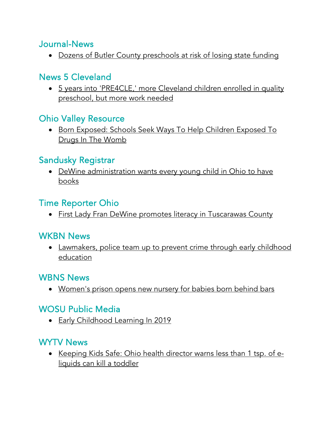#### Journal-News

• [Dozens of Butler County preschools at risk of losing state funding](https://www.journal-news.com/news/local/dozens-butler-county-preschools-risk-losing-state-funding/8ajJPut79HJU8Vpf0cde1K/)

#### News 5 Cleveland

• [5 years into 'PRE4CLE,' more Cleveland children enrolled in quality](https://www.news5cleveland.com/news/local-news/cleveland-metro/5-years-into-pre4cle-more-cleveland-children-enrolled-in-quality-preschool-but-more-work-needed)  [preschool, but more work needed](https://www.news5cleveland.com/news/local-news/cleveland-metro/5-years-into-pre4cle-more-cleveland-children-enrolled-in-quality-preschool-but-more-work-needed)

## Ohio Valley Resource

• [Born Exposed: Schools Seek Ways To Help Children Exposed To](https://ohiovalleyresource.org/2019/09/20/born-exposed-schools-seek-ways-to-help-children-exposed-to-drugs-in-the-womb/)  [Drugs In The Womb](https://ohiovalleyresource.org/2019/09/20/born-exposed-schools-seek-ways-to-help-children-exposed-to-drugs-in-the-womb/)

## Sandusky Registrar

• [DeWine administration wants every young child in Ohio to have](http://www.sanduskyregister.com/story/201909030029)  [books](http://www.sanduskyregister.com/story/201909030029)

## Time Reporter Ohio

• [First Lady Fran DeWine promotes literacy in Tuscarawas County](https://www.timesreporter.com/news/20190924/first-lady-fran-dewine-promotes-literacy-in-tuscarawas-county)

# WKBN News

• [Lawmakers, police team up to prevent crime through early childhood](https://www.wkbn.com/news/ohio/lawmakers-police-team-up-to-prevent-crime-through-early-childhood-education/)  [education](https://www.wkbn.com/news/ohio/lawmakers-police-team-up-to-prevent-crime-through-early-childhood-education/)

#### WBNS News

• [Women's prison opens new nursery for babies born behind bars](https://www.10tv.com/article/womens-prison-opens-new-nursery-babies-born-behind-bars-2019-sep)

# WOSU Public Media

• [Early Childhood Learning In 2019](https://radio.wosu.org/post/early-childhood-learning-2019#stream/0)

#### WYTV News

• [Keeping Kids Safe: Ohio health director warns less than 1 tsp. of e](https://www.wytv.com/community/keeping-kids-safe/keeping-kids-safe-ohio-health-director-warns-less-than-1-tsp-of-e-liquids-can-kill-a-toddler/)[liquids can kill a toddler](https://www.wytv.com/community/keeping-kids-safe/keeping-kids-safe-ohio-health-director-warns-less-than-1-tsp-of-e-liquids-can-kill-a-toddler/)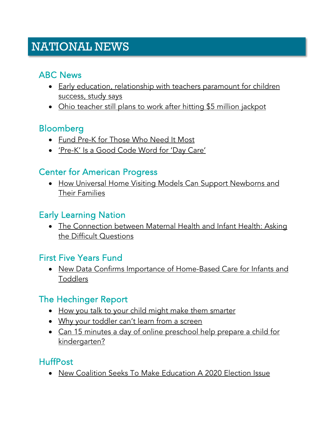# NATIONAL NEWS

## ABC News

- [Early education, relationship with teachers paramount for children](https://abcnews.go.com/Health/early-education-relationship-teachers-paramount-children-success-study/story?id=65293302)  [success, study says](https://abcnews.go.com/Health/early-education-relationship-teachers-paramount-children-success-study/story?id=65293302)
- [Ohio teacher still plans to work after hitting \\$5 million jackpot](https://abcnews.go.com/US/ohio-teacher-plans-work-hitting-million-jackpot/story?id=65454462)

#### Bloomberg

- [Fund Pre-K for Those Who Need It Most](https://www.bloomberg.com/opinion/articles/2019-09-03/pre-k-for-all-targeted-preschool-for-poor-kids-would-be-better?srnd=opinion)
- ['Pre-K' Is a Good Code Word for 'Day Care'](https://www.bloomberg.com/opinion/articles/2019-09-10/when-democrats-talk-about-pre-k-they-mean-affordable-day-care)

## Center for American Progress

• [How Universal Home Visiting Models Can Support Newborns and](https://www.americanprogress.org/issues/early-childhood/reports/2019/09/26/474946/universal-home-visiting-models-can-support-newborns-families/)  [Their Families](https://www.americanprogress.org/issues/early-childhood/reports/2019/09/26/474946/universal-home-visiting-models-can-support-newborns-families/)

#### Early Learning Nation

• [The Connection between Maternal Health and Infant Health: Asking](http://earlylearningnation.com/2019/09/the-connection-between-maternal-health-and-infant-health-asking-the-difficult-questions/)  [the Difficult Questions](http://earlylearningnation.com/2019/09/the-connection-between-maternal-health-and-infant-health-asking-the-difficult-questions/)

#### First Five Years Fund

• [New Data Confirms Importance of Home-Based Care for Infants and](https://www.ffyf.org/new-data-confirms-importance-of-home-based-care-for-infants-and-toddlers/)  [Toddlers](https://www.ffyf.org/new-data-confirms-importance-of-home-based-care-for-infants-and-toddlers/)

# The Hechinger Report

- [How you talk to your child might make them smarter](https://hechingerreport.org/how-you-talk-to-your-child-might-make-them-smarter/)
- [Why your toddler can't learn from a screen](https://hechingerreport.org/why-your-toddler-cant-learn-from-a-screen/)
- [Can 15 minutes a day of online preschool help prepare a child for](https://hechingerreport.org/can-15-minutes-a-day-of-online-preschool-help-prepare-a-child-for-kindergarten/)  [kindergarten?](https://hechingerreport.org/can-15-minutes-a-day-of-online-preschool-help-prepare-a-child-for-kindergarten/)

#### HuffPost

• [New Coalition Seeks To Make Education A 2020 Election Issue](https://www.huffpost.com/entry/education-2020-coalition-presidential-candidates_n_5d7809a7e4b094928f076c5b?guccounter=2)